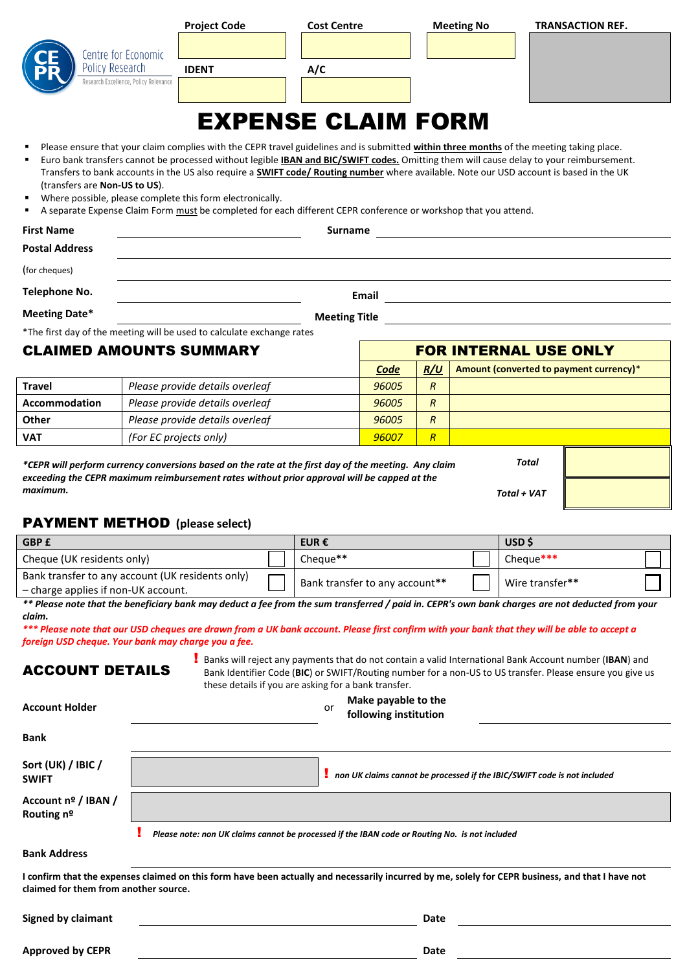| Policy Research                                                                                                                                                                                                                                                                                                                                                                                                                                                                                                                                                                                                                                               | Centre for Economic<br>lesearch Excellence, Policy Relevance | <b>Project Code</b><br><b>IDENT</b> |  | <b>Cost Centre</b><br>A/C<br><b>EXPENSE CLAIM FORM</b> |       |                | <b>Meeting No</b> | <b>TRANSACTION REF.</b>                                                                                                                                                                                                                                                                                                                                                                                      |  |
|---------------------------------------------------------------------------------------------------------------------------------------------------------------------------------------------------------------------------------------------------------------------------------------------------------------------------------------------------------------------------------------------------------------------------------------------------------------------------------------------------------------------------------------------------------------------------------------------------------------------------------------------------------------|--------------------------------------------------------------|-------------------------------------|--|--------------------------------------------------------|-------|----------------|-------------------|--------------------------------------------------------------------------------------------------------------------------------------------------------------------------------------------------------------------------------------------------------------------------------------------------------------------------------------------------------------------------------------------------------------|--|
| Please ensure that your claim complies with the CEPR travel guidelines and is submitted within three months of the meeting taking place.<br>Euro bank transfers cannot be processed without legible <b>IBAN and BIC/SWIFT codes.</b> Omitting them will cause delay to your reimbursement.<br>Transfers to bank accounts in the US also require a <b>SWIFT code/ Routing number</b> where available. Note our USD account is based in the UK<br>(transfers are Non-US to US).<br>Where possible, please complete this form electronically.<br>A separate Expense Claim Form must be completed for each different CEPR conference or workshop that you attend. |                                                              |                                     |  |                                                        |       |                |                   |                                                                                                                                                                                                                                                                                                                                                                                                              |  |
| <b>First Name</b>                                                                                                                                                                                                                                                                                                                                                                                                                                                                                                                                                                                                                                             |                                                              |                                     |  | Surname                                                |       |                |                   |                                                                                                                                                                                                                                                                                                                                                                                                              |  |
| <b>Postal Address</b>                                                                                                                                                                                                                                                                                                                                                                                                                                                                                                                                                                                                                                         |                                                              |                                     |  |                                                        |       |                |                   |                                                                                                                                                                                                                                                                                                                                                                                                              |  |
| (for cheques)                                                                                                                                                                                                                                                                                                                                                                                                                                                                                                                                                                                                                                                 |                                                              |                                     |  |                                                        |       |                |                   |                                                                                                                                                                                                                                                                                                                                                                                                              |  |
| <b>Telephone No.</b>                                                                                                                                                                                                                                                                                                                                                                                                                                                                                                                                                                                                                                          |                                                              |                                     |  |                                                        | Email |                |                   | <u> 1980 - Johann Barn, mars ann an t-Amhain Aonaich an t-Aonaich an t-Aonaich ann an t-Aonaich ann an t-Aonaich</u>                                                                                                                                                                                                                                                                                         |  |
| <b>Meeting Date*</b>                                                                                                                                                                                                                                                                                                                                                                                                                                                                                                                                                                                                                                          |                                                              |                                     |  | <b>Meeting Title</b>                                   |       |                |                   | <u> 1980 - Jan Samuel Barbara, político establecera en la contrada de la contrada de la contrada de la contrada d</u>                                                                                                                                                                                                                                                                                        |  |
| *The first day of the meeting will be used to calculate exchange rates                                                                                                                                                                                                                                                                                                                                                                                                                                                                                                                                                                                        |                                                              |                                     |  |                                                        |       |                |                   |                                                                                                                                                                                                                                                                                                                                                                                                              |  |
| <b>CLAIMED AMOUNTS SUMMARY</b><br><b>FOR INTERNAL USE ONLY</b>                                                                                                                                                                                                                                                                                                                                                                                                                                                                                                                                                                                                |                                                              |                                     |  |                                                        |       |                |                   |                                                                                                                                                                                                                                                                                                                                                                                                              |  |
|                                                                                                                                                                                                                                                                                                                                                                                                                                                                                                                                                                                                                                                               |                                                              |                                     |  |                                                        |       |                |                   |                                                                                                                                                                                                                                                                                                                                                                                                              |  |
|                                                                                                                                                                                                                                                                                                                                                                                                                                                                                                                                                                                                                                                               |                                                              |                                     |  |                                                        | Code  | R/U            |                   | Amount (converted to payment currency)*                                                                                                                                                                                                                                                                                                                                                                      |  |
| <b>Travel</b>                                                                                                                                                                                                                                                                                                                                                                                                                                                                                                                                                                                                                                                 |                                                              | Please provide details overleaf     |  |                                                        | 96005 | $\overline{R}$ |                   |                                                                                                                                                                                                                                                                                                                                                                                                              |  |
| <b>Accommodation</b>                                                                                                                                                                                                                                                                                                                                                                                                                                                                                                                                                                                                                                          |                                                              | Please provide details overleaf     |  |                                                        | 96005 | $\mathcal{R}$  |                   |                                                                                                                                                                                                                                                                                                                                                                                                              |  |
| Other                                                                                                                                                                                                                                                                                                                                                                                                                                                                                                                                                                                                                                                         |                                                              | Please provide details overleaf     |  |                                                        | 96005 | $\overline{R}$ |                   |                                                                                                                                                                                                                                                                                                                                                                                                              |  |
| <b>VAT</b>                                                                                                                                                                                                                                                                                                                                                                                                                                                                                                                                                                                                                                                    |                                                              | (For EC projects only)              |  |                                                        | 96007 | R              |                   |                                                                                                                                                                                                                                                                                                                                                                                                              |  |
| *CEPR will perform currency conversions based on the rate at the first day of the meeting. Any claim<br>exceeding the CEPR maximum reimbursement rates without prior approval will be capped at the<br>maximum.<br><b>PAYMENT METHOD</b> (please select)                                                                                                                                                                                                                                                                                                                                                                                                      |                                                              |                                     |  |                                                        |       |                |                   | Total<br>Total + VAT                                                                                                                                                                                                                                                                                                                                                                                         |  |
| GBP £                                                                                                                                                                                                                                                                                                                                                                                                                                                                                                                                                                                                                                                         |                                                              |                                     |  | EUR €                                                  |       |                |                   | USD\$                                                                                                                                                                                                                                                                                                                                                                                                        |  |
| Cheque (UK residents only)                                                                                                                                                                                                                                                                                                                                                                                                                                                                                                                                                                                                                                    |                                                              |                                     |  | Cheque**                                               |       |                |                   | Cheque***                                                                                                                                                                                                                                                                                                                                                                                                    |  |
| Bank transfer to any account (UK residents only)                                                                                                                                                                                                                                                                                                                                                                                                                                                                                                                                                                                                              |                                                              |                                     |  | Bank transfer to any account**                         |       |                |                   | Wire transfer**                                                                                                                                                                                                                                                                                                                                                                                              |  |
| - charge applies if non-UK account.<br>claim.<br>foreign USD cheque. Your bank may charge you a fee.                                                                                                                                                                                                                                                                                                                                                                                                                                                                                                                                                          |                                                              |                                     |  |                                                        |       |                |                   | ** Please note that the beneficiary bank may deduct a fee from the sum transferred / paid in. CEPR's own bank charges are not deducted from your<br>*** Please note that our USD cheques are drawn from a UK bank account. Please first confirm with your bank that they will be able to accept a<br>Banks will reject any payments that do not contain a valid International Bank Account number (IBAN) and |  |

these details if you are asking for a bank transfer. **Make payable to the** 

| <b>Account Holder</b>                 | <i>INGRE Payable to the</i><br>or<br>following institution                                                                                        |
|---------------------------------------|---------------------------------------------------------------------------------------------------------------------------------------------------|
| <b>Bank</b>                           |                                                                                                                                                   |
| Sort (UK) / IBIC /<br><b>SWIFT</b>    | non UK claims cannot be processed if the IBIC/SWIFT code is not included                                                                          |
| Account nº / IBAN /<br>Routing nº     |                                                                                                                                                   |
|                                       | Please note: non UK claims cannot be processed if the IBAN code or Routing No. is not included                                                    |
| <b>Bank Address</b>                   |                                                                                                                                                   |
| claimed for them from another source. | I confirm that the expenses claimed on this form have been actually and necessarily incurred by me, solely for CEPR business, and that I have not |

**Signed by claimant Date** 

**Approved by CEPR Date**